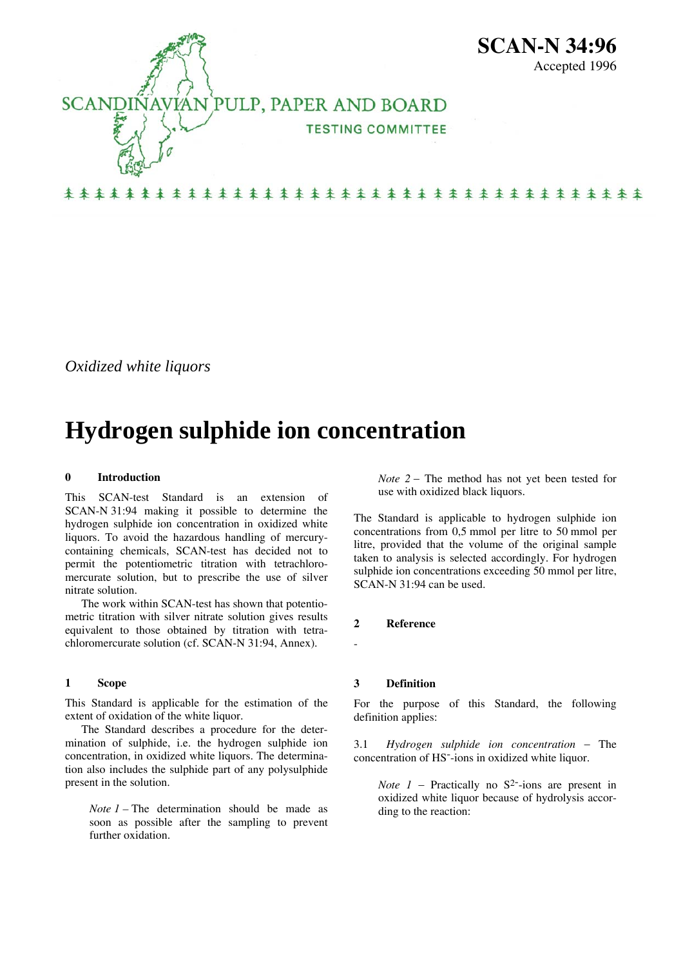

*Oxidized white liquors* 

# **Hydrogen sulphide ion concentration**

#### **0 Introduction**

This SCAN-test Standard is an extension of SCAN-N 31:94 making it possible to determine the hydrogen sulphide ion concentration in oxidized white liquors. To avoid the hazardous handling of mercurycontaining chemicals, SCAN-test has decided not to permit the potentiometric titration with tetrachloromercurate solution, but to prescribe the use of silver nitrate solution.

 The work within SCAN-test has shown that potentiometric titration with silver nitrate solution gives results equivalent to those obtained by titration with tetrachloromercurate solution (cf. SCAN-N 31:94, Annex).

### **1 Scope**

This Standard is applicable for the estimation of the extent of oxidation of the white liquor.

 The Standard describes a procedure for the determination of sulphide, i.e. the hydrogen sulphide ion concentration, in oxidized white liquors. The determination also includes the sulphide part of any polysulphide present in the solution.

*Note 1* – The determination should be made as soon as possible after the sampling to prevent further oxidation.

*Note* 2 − The method has not yet been tested for use with oxidized black liquors.

The Standard is applicable to hydrogen sulphide ion concentrations from 0,5 mmol per litre to 50 mmol per litre, provided that the volume of the original sample taken to analysis is selected accordingly. For hydrogen sulphide ion concentrations exceeding 50 mmol per litre, SCAN-N 31:94 can be used.

# **2 Reference**

-

#### **3 Definition**

For the purpose of this Standard, the following definition applies:

3.1 *Hydrogen sulphide ion concentration* − The concentration of HS--ions in oxidized white liquor.

*Note 1* − Practically no S<sup>2-</sup>-ions are present in oxidized white liquor because of hydrolysis according to the reaction: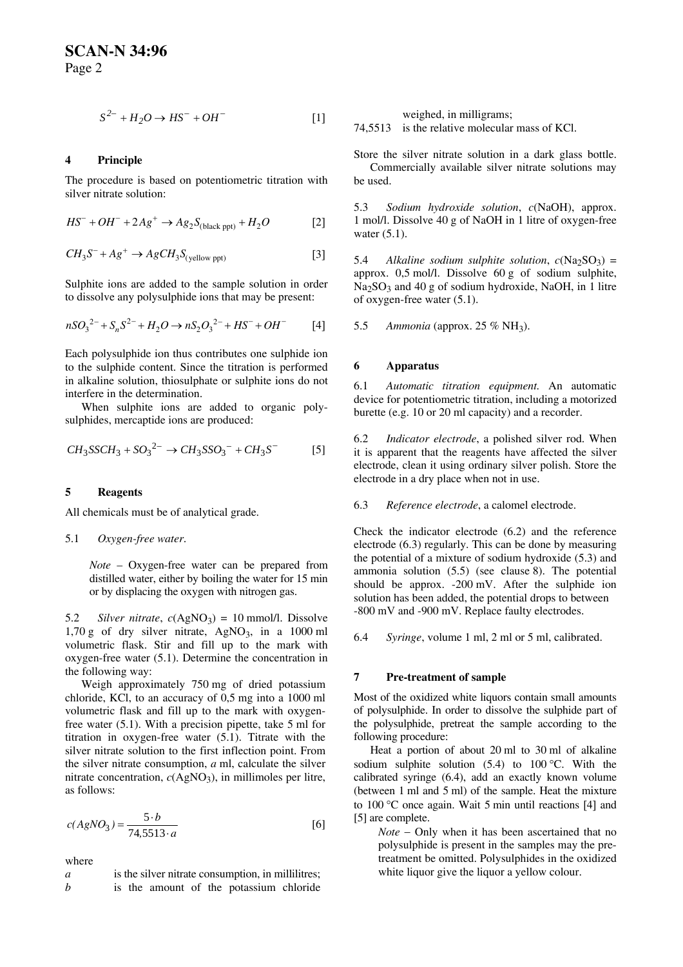$$
S^{2-} + H_2O \rightarrow HS^- + OH^-
$$
 [1]

# **4 Principle**

The procedure is based on potentiometric titration with silver nitrate solution:

$$
HS^{-} + OH^{-} + 2Ag^{+} \rightarrow Ag_{2}S_{\text{(black ppt)}} + H_{2}O
$$
 [2]

$$
CH_3S^- + Ag^+ \to AgCH_3S_{\text{(yellow\,pt)}}\tag{3}
$$

Sulphite ions are added to the sample solution in order to dissolve any polysulphide ions that may be present:

$$
nSO_3^{2-} + S_nS^{2-} + H_2O \to nS_2O_3^{2-} + HS^- + OH^-
$$
 [4]

Each polysulphide ion thus contributes one sulphide ion to the sulphide content. Since the titration is performed in alkaline solution, thiosulphate or sulphite ions do not interfere in the determination.

 When sulphite ions are added to organic polysulphides, mercaptide ions are produced:

$$
CH_3SSCH_3 + SO_3^{2-} \rightarrow CH_3SSO_3^- + CH_3S^-
$$
 [5]

#### **5 Reagents**

All chemicals must be of analytical grade.

#### 5.1 *Oxygen-free water*.

*Note* – Oxygen-free water can be prepared from distilled water, either by boiling the water for 15 min or by displacing the oxygen with nitrogen gas.

5.2 *Silver nitrate*,  $c(AgNO_3) = 10$  mmol/l. Dissolve  $1,70 \text{ g}$  of dry silver nitrate, AgNO<sub>3</sub>, in a 1000 ml volumetric flask. Stir and fill up to the mark with oxygen-free water (5.1). Determine the concentration in the following way:

 Weigh approximately 750 mg of dried potassium chloride, KCl, to an accuracy of 0,5 mg into a 1000 ml volumetric flask and fill up to the mark with oxygenfree water (5.1). With a precision pipette, take 5 ml for titration in oxygen-free water (5.1). Titrate with the silver nitrate solution to the first inflection point. From the silver nitrate consumption, *a* ml, calculate the silver nitrate concentration,  $c(AgNO_3)$ , in millimoles per litre, as follows:

$$
c(AgNO_3) = \frac{5 \cdot b}{74,5513 \cdot a}
$$
 [6]

where

*a* is the silver nitrate consumption, in millilitres; *b* is the amount of the potassium chloride weighed, in milligrams;

74,5513 is the relative molecular mass of KCl.

Store the silver nitrate solution in a dark glass bottle. Commercially available silver nitrate solutions may be used.

5.3 *Sodium hydroxide solution*, *c*(NaOH), approx. 1 mol/l. Dissolve 40 g of NaOH in 1 litre of oxygen-free water (5.1).

5.4 *Alkaline sodium sulphite solution,*  $c(Na_2SO_3) =$ approx. 0,5 mol/l. Dissolve 60 g of sodium sulphite,  $Na<sub>2</sub>SO<sub>3</sub>$  and 40 g of sodium hydroxide, NaOH, in 1 litre of oxygen-free water (5.1).

5.5 *Ammonia* (approx. 25 % NH3).

#### **6 Apparatus**

6.1 *Automatic titration equipment.* An automatic device for potentiometric titration, including a motorized burette (e.g. 10 or 20 ml capacity) and a recorder.

6.2 *Indicator electrode*, a polished silver rod. When it is apparent that the reagents have affected the silver electrode, clean it using ordinary silver polish. Store the electrode in a dry place when not in use.

6.3 *Reference electrode*, a calomel electrode.

Check the indicator electrode (6.2) and the reference electrode (6.3) regularly. This can be done by measuring the potential of a mixture of sodium hydroxide (5.3) and ammonia solution (5.5) (see clause 8). The potential should be approx. -200 mV. After the sulphide ion solution has been added, the potential drops to between -800 mV and -900 mV. Replace faulty electrodes.

6.4 *Syringe*, volume 1 ml, 2 ml or 5 ml, calibrated.

#### **7 Pre-treatment of sample**

Most of the oxidized white liquors contain small amounts of polysulphide. In order to dissolve the sulphide part of the polysulphide, pretreat the sample according to the following procedure:

 Heat a portion of about 20 ml to 30 ml of alkaline sodium sulphite solution  $(5.4)$  to  $100^{\circ}$ C. With the calibrated syringe (6.4), add an exactly known volume (between 1 ml and 5 ml) of the sample. Heat the mixture to 100 °C once again. Wait 5 min until reactions [4] and [5] are complete.

*Note* − Only when it has been ascertained that no polysulphide is present in the samples may the pretreatment be omitted. Polysulphides in the oxidized white liquor give the liquor a yellow colour.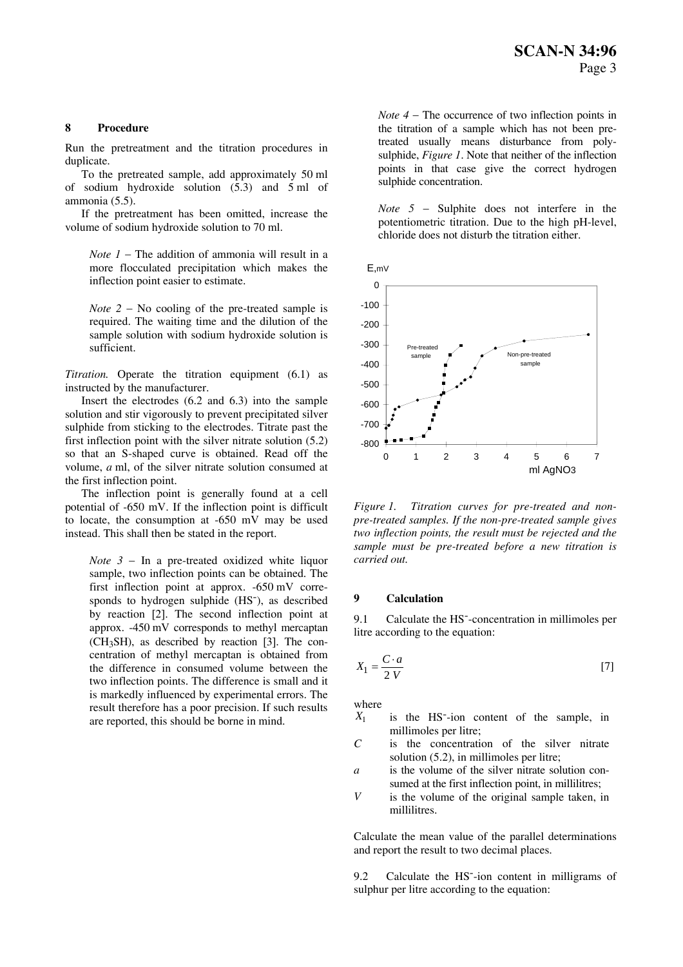#### **8 Procedure**

Run the pretreatment and the titration procedures in duplicate.

 To the pretreated sample, add approximately 50 ml of sodium hydroxide solution  $(5.3)$  and  $5 \text{ ml}$  of ammonia (5.5).

 If the pretreatment has been omitted, increase the volume of sodium hydroxide solution to 70 ml.

*Note 1* − The addition of ammonia will result in a more flocculated precipitation which makes the inflection point easier to estimate.

*Note* 2 − No cooling of the pre-treated sample is required. The waiting time and the dilution of the sample solution with sodium hydroxide solution is sufficient.

*Titration.* Operate the titration equipment (6.1) as instructed by the manufacturer.

 Insert the electrodes (6.2 and 6.3) into the sample solution and stir vigorously to prevent precipitated silver sulphide from sticking to the electrodes. Titrate past the first inflection point with the silver nitrate solution (5.2) so that an S-shaped curve is obtained. Read off the volume, *a* ml, of the silver nitrate solution consumed at the first inflection point.

 The inflection point is generally found at a cell potential of -650 mV. If the inflection point is difficult to locate, the consumption at -650 mV may be used instead. This shall then be stated in the report.

*Note* 3 − In a pre-treated oxidized white liquor sample, two inflection points can be obtained. The first inflection point at approx. -650 mV corresponds to hydrogen sulphide (HS-), as described by reaction [2]. The second inflection point at approx. -450 mV corresponds to methyl mercaptan (CH3SH), as described by reaction [3]. The concentration of methyl mercaptan is obtained from the difference in consumed volume between the two inflection points. The difference is small and it is markedly influenced by experimental errors. The result therefore has a poor precision. If such results are reported, this should be borne in mind.

*Note 4* − The occurrence of two inflection points in the titration of a sample which has not been pretreated usually means disturbance from polysulphide, *Figure 1*. Note that neither of the inflection points in that case give the correct hydrogen sulphide concentration.

*Note 5* − Sulphite does not interfere in the potentiometric titration. Due to the high pH-level, chloride does not disturb the titration either.





*Figure 1. Titration curves for pre-treated and nonpre-treated samples. If the non-pre-treated sample gives two inflection points, the result must be rejected and the sample must be pre-treated before a new titration is carried out.* 

#### **9 Calculation**

9.1 Calculate the HS--concentration in millimoles per litre according to the equation:

$$
X_1 = \frac{C \cdot a}{2 V} \tag{7}
$$

where

- *X*<sup>1</sup> is the HS--ion content of the sample, in millimoles per litre;
- *C* is the concentration of the silver nitrate solution (5.2), in millimoles per litre;
- *a* is the volume of the silver nitrate solution consumed at the first inflection point, in millilitres;
- *V* is the volume of the original sample taken, in millilitres.

Calculate the mean value of the parallel determinations and report the result to two decimal places.

9.2 Calculate the HS--ion content in milligrams of sulphur per litre according to the equation: